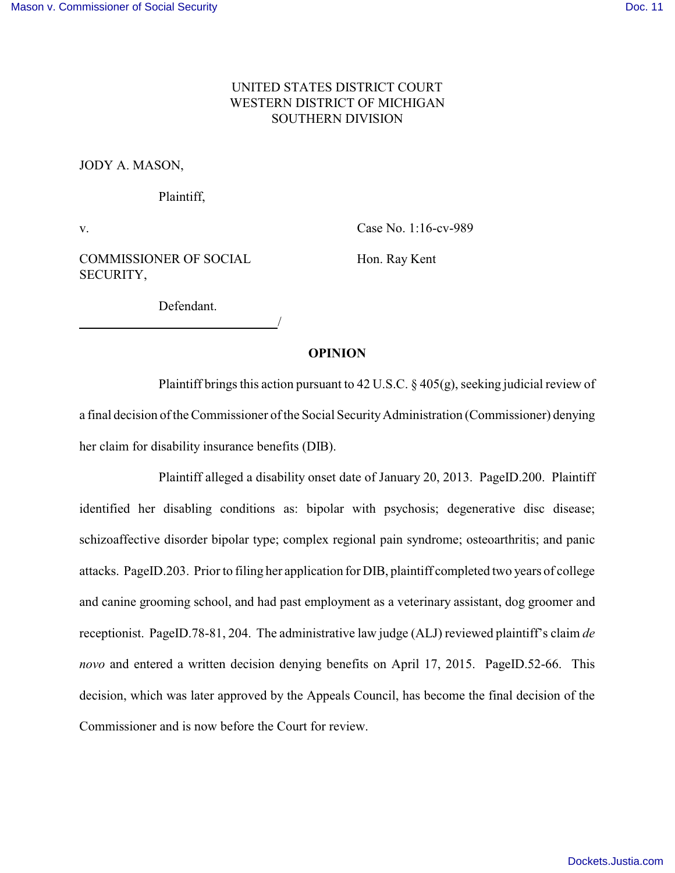# UNITED STATES DISTRICT COURT WESTERN DISTRICT OF MICHIGAN SOUTHERN DIVISION

JODY A. MASON,

Plaintiff,

v. Case No. 1:16-cv-989

COMMISSIONER OF SOCIAL Hon. Ray Kent SECURITY,

Defendant.

<u>/</u>

### **OPINION**

Plaintiff brings this action pursuant to 42 U.S.C.  $\S 405(g)$ , seeking judicial review of a final decision of the Commissioner of the Social SecurityAdministration (Commissioner) denying her claim for disability insurance benefits (DIB).

Plaintiff alleged a disability onset date of January 20, 2013. PageID.200. Plaintiff identified her disabling conditions as: bipolar with psychosis; degenerative disc disease; schizoaffective disorder bipolar type; complex regional pain syndrome; osteoarthritis; and panic attacks. PageID.203. Prior to filing her application for DIB, plaintiff completed two years of college and canine grooming school, and had past employment as a veterinary assistant, dog groomer and receptionist. PageID.78-81, 204. The administrative law judge (ALJ) reviewed plaintiff's claim *de novo* and entered a written decision denying benefits on April 17, 2015. PageID.52-66. This decision, which was later approved by the Appeals Council, has become the final decision of the Commissioner and is now before the Court for review.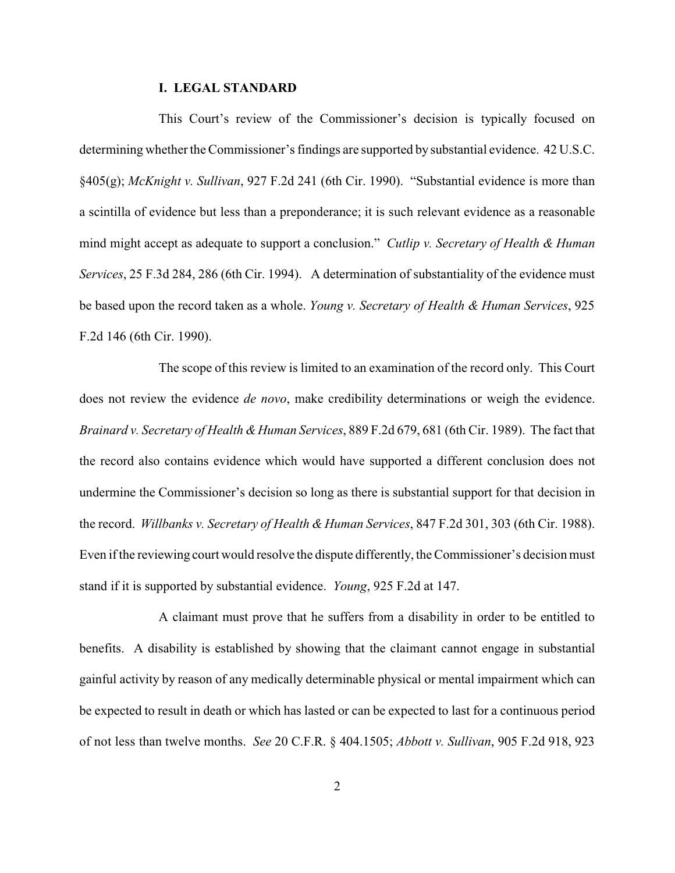### **I. LEGAL STANDARD**

This Court's review of the Commissioner's decision is typically focused on determining whether the Commissioner's findings are supported by substantial evidence. 42 U.S.C. §405(g); *McKnight v. Sullivan*, 927 F.2d 241 (6th Cir. 1990). "Substantial evidence is more than a scintilla of evidence but less than a preponderance; it is such relevant evidence as a reasonable mind might accept as adequate to support a conclusion." *Cutlip v. Secretary of Health & Human Services*, 25 F.3d 284, 286 (6th Cir. 1994). A determination of substantiality of the evidence must be based upon the record taken as a whole. *Young v. Secretary of Health & Human Services*, 925 F.2d 146 (6th Cir. 1990).

The scope of this review is limited to an examination of the record only. This Court does not review the evidence *de novo*, make credibility determinations or weigh the evidence. *Brainard v. Secretary of Health &Human Services*, 889 F.2d 679, 681 (6th Cir. 1989). The fact that the record also contains evidence which would have supported a different conclusion does not undermine the Commissioner's decision so long as there is substantial support for that decision in the record. *Willbanks v. Secretary of Health & Human Services*, 847 F.2d 301, 303 (6th Cir. 1988). Even if the reviewing court would resolve the dispute differently, the Commissioner's decision must stand if it is supported by substantial evidence. *Young*, 925 F.2d at 147.

A claimant must prove that he suffers from a disability in order to be entitled to benefits. A disability is established by showing that the claimant cannot engage in substantial gainful activity by reason of any medically determinable physical or mental impairment which can be expected to result in death or which has lasted or can be expected to last for a continuous period of not less than twelve months. *See* 20 C.F.R. § 404.1505; *Abbott v. Sullivan*, 905 F.2d 918, 923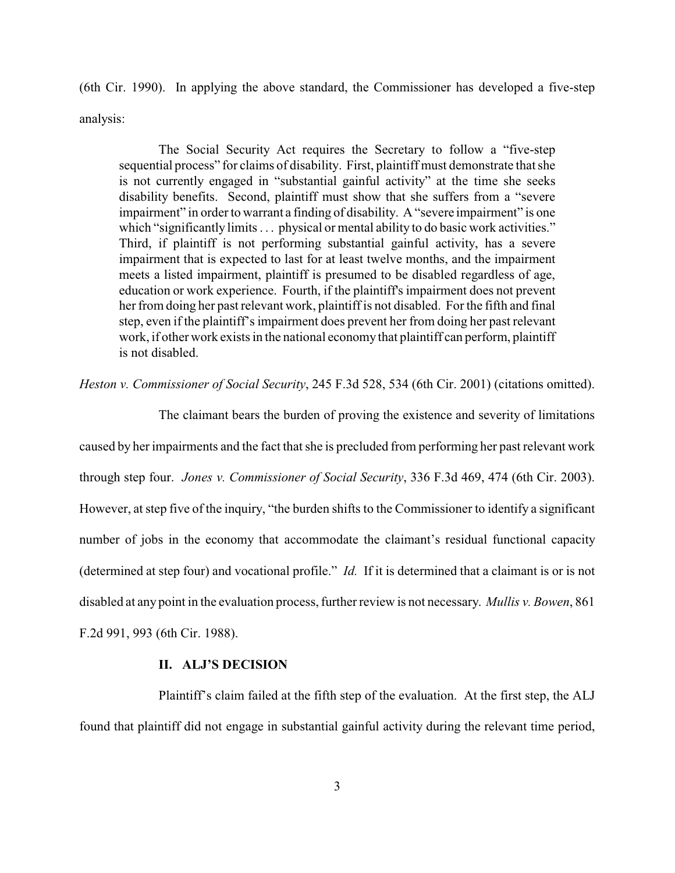(6th Cir. 1990). In applying the above standard, the Commissioner has developed a five-step analysis:

The Social Security Act requires the Secretary to follow a "five-step sequential process" for claims of disability. First, plaintiff must demonstrate that she is not currently engaged in "substantial gainful activity" at the time she seeks disability benefits. Second, plaintiff must show that she suffers from a "severe impairment" in order to warrant a finding of disability. A "severe impairment" is one which "significantly limits . . . physical or mental ability to do basic work activities." Third, if plaintiff is not performing substantial gainful activity, has a severe impairment that is expected to last for at least twelve months, and the impairment meets a listed impairment, plaintiff is presumed to be disabled regardless of age, education or work experience. Fourth, if the plaintiff's impairment does not prevent her from doing her past relevant work, plaintiff is not disabled. For the fifth and final step, even if the plaintiff's impairment does prevent her from doing her past relevant work, if other work exists in the national economy that plaintiff can perform, plaintiff is not disabled.

*Heston v. Commissioner of Social Security*, 245 F.3d 528, 534 (6th Cir. 2001) (citations omitted).

The claimant bears the burden of proving the existence and severity of limitations caused by her impairments and the fact that she is precluded from performing her past relevant work through step four. *Jones v. Commissioner of Social Security*, 336 F.3d 469, 474 (6th Cir. 2003). However, at step five of the inquiry, "the burden shifts to the Commissioner to identify a significant number of jobs in the economy that accommodate the claimant's residual functional capacity (determined at step four) and vocational profile." *Id.* If it is determined that a claimant is or is not disabled at any point in the evaluation process, further review is not necessary. *Mullis v. Bowen*, 861 F.2d 991, 993 (6th Cir. 1988).

### **II. ALJ'S DECISION**

Plaintiff's claim failed at the fifth step of the evaluation. At the first step, the ALJ found that plaintiff did not engage in substantial gainful activity during the relevant time period,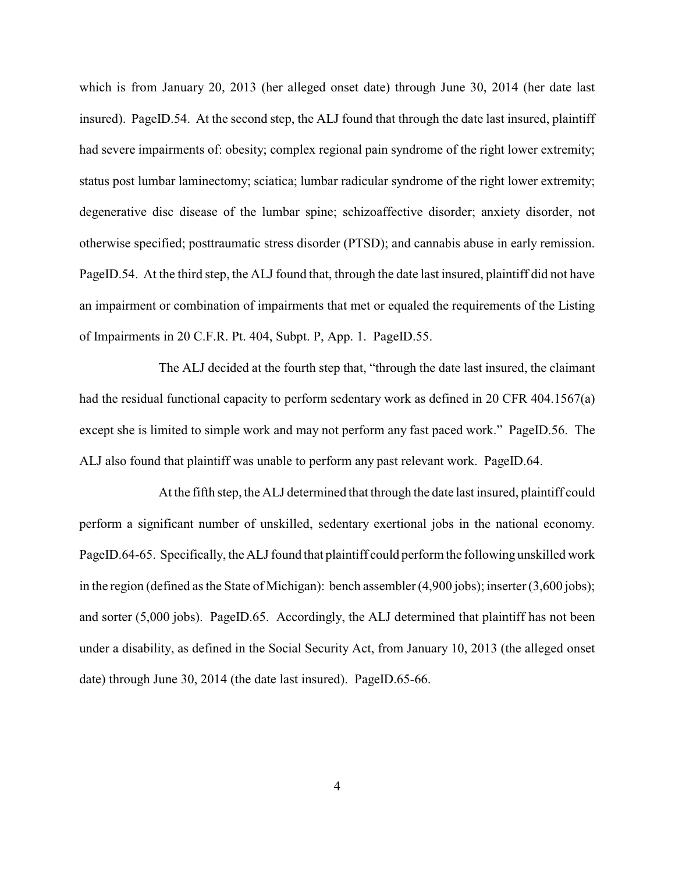which is from January 20, 2013 (her alleged onset date) through June 30, 2014 (her date last insured). PageID.54. At the second step, the ALJ found that through the date last insured, plaintiff had severe impairments of: obesity; complex regional pain syndrome of the right lower extremity; status post lumbar laminectomy; sciatica; lumbar radicular syndrome of the right lower extremity; degenerative disc disease of the lumbar spine; schizoaffective disorder; anxiety disorder, not otherwise specified; posttraumatic stress disorder (PTSD); and cannabis abuse in early remission. PageID.54. At the third step, the ALJ found that, through the date last insured, plaintiff did not have an impairment or combination of impairments that met or equaled the requirements of the Listing of Impairments in 20 C.F.R. Pt. 404, Subpt. P, App. 1. PageID.55.

The ALJ decided at the fourth step that, "through the date last insured, the claimant had the residual functional capacity to perform sedentary work as defined in 20 CFR 404.1567(a) except she is limited to simple work and may not perform any fast paced work." PageID.56. The ALJ also found that plaintiff was unable to perform any past relevant work. PageID.64.

At the fifth step, the ALJ determined that through the date last insured, plaintiff could perform a significant number of unskilled, sedentary exertional jobs in the national economy. PageID.64-65. Specifically, the ALJ found that plaintiff could perform the following unskilled work in the region (defined as the State of Michigan): bench assembler (4,900 jobs); inserter (3,600 jobs); and sorter (5,000 jobs). PageID.65. Accordingly, the ALJ determined that plaintiff has not been under a disability, as defined in the Social Security Act, from January 10, 2013 (the alleged onset date) through June 30, 2014 (the date last insured). PageID.65-66.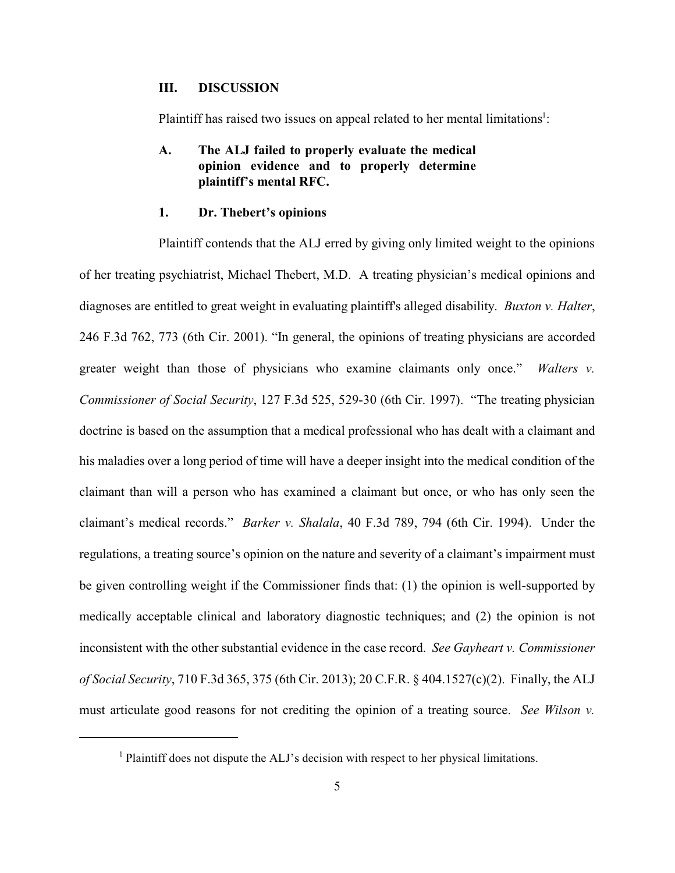## **III. DISCUSSION**

Plaintiff has raised two issues on appeal related to her mental limitations<sup>1</sup>:

# **A. The ALJ failed to properly evaluate the medical opinion evidence and to properly determine plaintiff's mental RFC.**

#### **1. Dr. Thebert's opinions**

Plaintiff contends that the ALJ erred by giving only limited weight to the opinions of her treating psychiatrist, Michael Thebert, M.D. A treating physician's medical opinions and diagnoses are entitled to great weight in evaluating plaintiff's alleged disability. *Buxton v. Halter*, 246 F.3d 762, 773 (6th Cir. 2001). "In general, the opinions of treating physicians are accorded greater weight than those of physicians who examine claimants only once." *Walters v. Commissioner of Social Security*, 127 F.3d 525, 529-30 (6th Cir. 1997). "The treating physician doctrine is based on the assumption that a medical professional who has dealt with a claimant and his maladies over a long period of time will have a deeper insight into the medical condition of the claimant than will a person who has examined a claimant but once, or who has only seen the claimant's medical records." *Barker v. Shalala*, 40 F.3d 789, 794 (6th Cir. 1994). Under the regulations, a treating source's opinion on the nature and severity of a claimant's impairment must be given controlling weight if the Commissioner finds that: (1) the opinion is well-supported by medically acceptable clinical and laboratory diagnostic techniques; and (2) the opinion is not inconsistent with the other substantial evidence in the case record. *See Gayheart v. Commissioner of Social Security*, 710 F.3d 365, 375 (6th Cir. 2013); 20 C.F.R. § 404.1527(c)(2). Finally, the ALJ must articulate good reasons for not crediting the opinion of a treating source. *See Wilson v.*

<sup>&</sup>lt;sup>1</sup> Plaintiff does not dispute the ALJ's decision with respect to her physical limitations.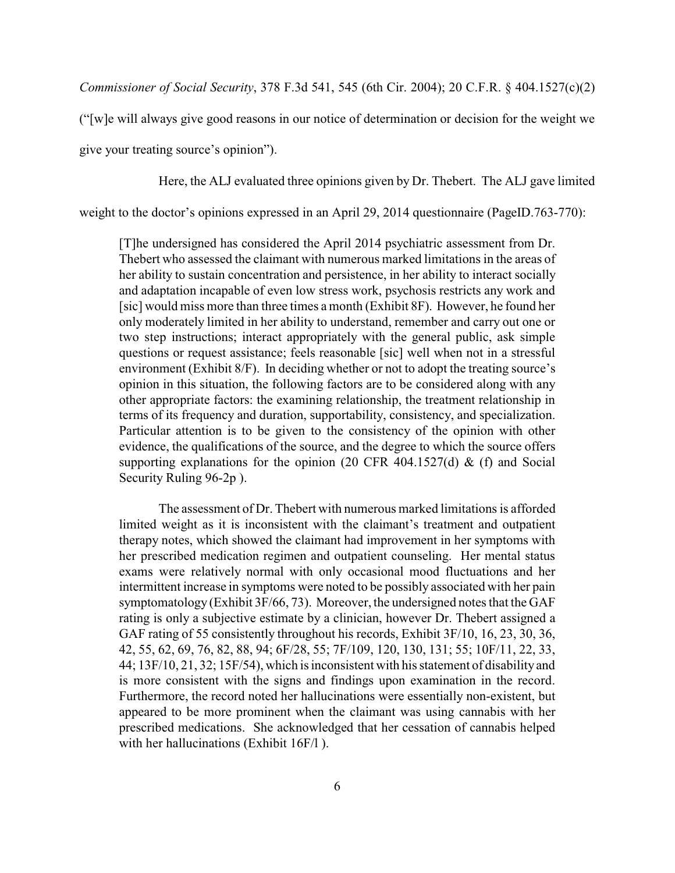*Commissioner of Social Security*, 378 F.3d 541, 545 (6th Cir. 2004); 20 C.F.R. § 404.1527(c)(2)

("[w]e will always give good reasons in our notice of determination or decision for the weight we

give your treating source's opinion").

Here, the ALJ evaluated three opinions given by Dr. Thebert. The ALJ gave limited

weight to the doctor's opinions expressed in an April 29, 2014 questionnaire (PageID.763-770):

[T]he undersigned has considered the April 2014 psychiatric assessment from Dr. Thebert who assessed the claimant with numerous marked limitations in the areas of her ability to sustain concentration and persistence, in her ability to interact socially and adaptation incapable of even low stress work, psychosis restricts any work and [sic] would miss more than three times a month (Exhibit 8F). However, he found her only moderately limited in her ability to understand, remember and carry out one or two step instructions; interact appropriately with the general public, ask simple questions or request assistance; feels reasonable [sic] well when not in a stressful environment (Exhibit 8/F). In deciding whether or not to adopt the treating source's opinion in this situation, the following factors are to be considered along with any other appropriate factors: the examining relationship, the treatment relationship in terms of its frequency and duration, supportability, consistency, and specialization. Particular attention is to be given to the consistency of the opinion with other evidence, the qualifications of the source, and the degree to which the source offers supporting explanations for the opinion (20 CFR 404.1527(d)  $\&$  (f) and Social Security Ruling 96-2p ).

The assessment of Dr. Thebert with numerous marked limitations is afforded limited weight as it is inconsistent with the claimant's treatment and outpatient therapy notes, which showed the claimant had improvement in her symptoms with her prescribed medication regimen and outpatient counseling. Her mental status exams were relatively normal with only occasional mood fluctuations and her intermittent increase in symptoms were noted to be possibly associated with her pain symptomatology (Exhibit 3F/66, 73). Moreover, the undersigned notes that the GAF rating is only a subjective estimate by a clinician, however Dr. Thebert assigned a GAF rating of 55 consistently throughout his records, Exhibit 3F/10, 16, 23, 30, 36, 42, 55, 62, 69, 76, 82, 88, 94; 6F/28, 55; 7F/109, 120, 130, 131; 55; 10F/11, 22, 33, 44; 13F/10, 21, 32; 15F/54), which is inconsistent with his statement of disability and is more consistent with the signs and findings upon examination in the record. Furthermore, the record noted her hallucinations were essentially non-existent, but appeared to be more prominent when the claimant was using cannabis with her prescribed medications. She acknowledged that her cessation of cannabis helped with her hallucinations (Exhibit 16F/l).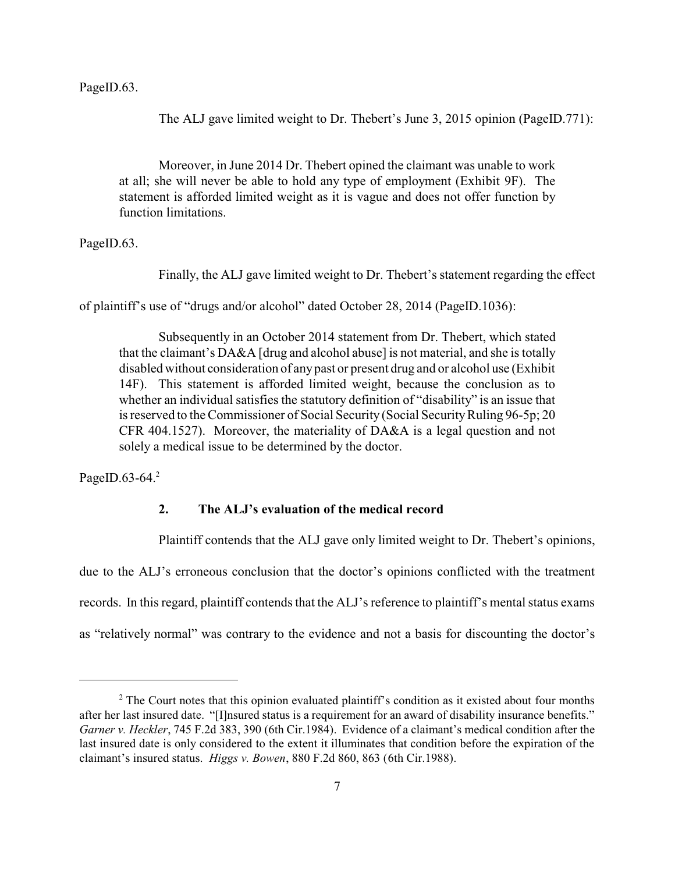PageID.63.

The ALJ gave limited weight to Dr. Thebert's June 3, 2015 opinion (PageID.771):

Moreover, in June 2014 Dr. Thebert opined the claimant was unable to work at all; she will never be able to hold any type of employment (Exhibit 9F). The statement is afforded limited weight as it is vague and does not offer function by function limitations.

PageID.63.

Finally, the ALJ gave limited weight to Dr. Thebert's statement regarding the effect

of plaintiff's use of "drugs and/or alcohol" dated October 28, 2014 (PageID.1036):

Subsequently in an October 2014 statement from Dr. Thebert, which stated that the claimant's DA&A [drug and alcohol abuse] is not material, and she is totally disabled without consideration of anypast or present drug and or alcohol use (Exhibit 14F). This statement is afforded limited weight, because the conclusion as to whether an individual satisfies the statutory definition of "disability" is an issue that is reserved to the Commissioner of Social Security (Social Security Ruling 96-5p; 20 CFR 404.1527). Moreover, the materiality of DA&A is a legal question and not solely a medical issue to be determined by the doctor.

PageID.63-64. $2$ 

# **2. The ALJ's evaluation of the medical record**

Plaintiff contends that the ALJ gave only limited weight to Dr. Thebert's opinions,

due to the ALJ's erroneous conclusion that the doctor's opinions conflicted with the treatment records. In this regard, plaintiff contends that the ALJ's reference to plaintiff's mental status exams as "relatively normal" was contrary to the evidence and not a basis for discounting the doctor's

<sup>&</sup>lt;sup>2</sup> The Court notes that this opinion evaluated plaintiff's condition as it existed about four months after her last insured date. "[I]nsured status is a requirement for an award of disability insurance benefits." *Garner v. Heckler*, 745 F.2d 383, 390 (6th Cir.1984). Evidence of a claimant's medical condition after the last insured date is only considered to the extent it illuminates that condition before the expiration of the claimant's insured status. *Higgs v. Bowen*, 880 F.2d 860, 863 (6th Cir.1988).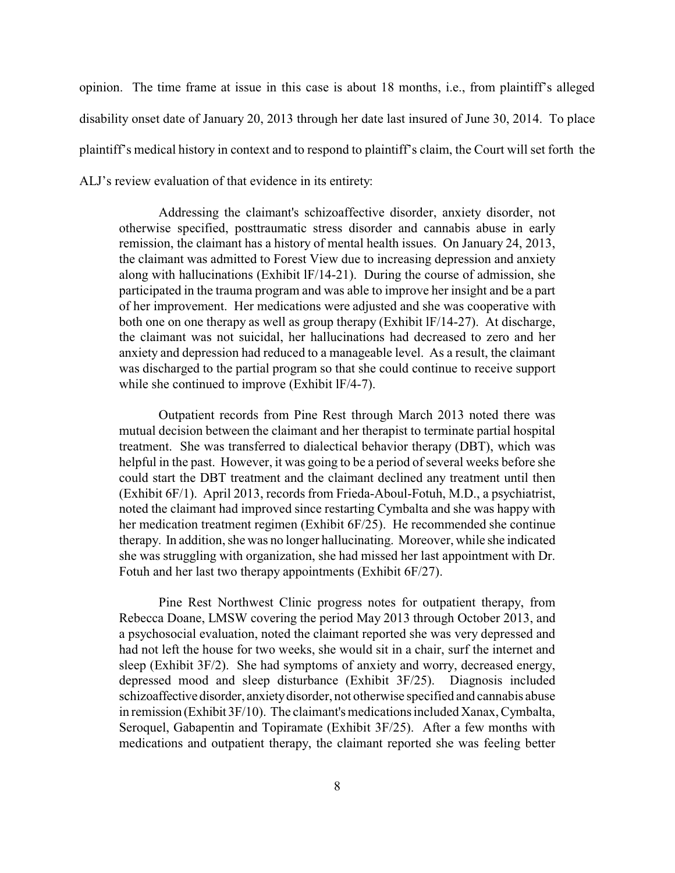opinion. The time frame at issue in this case is about 18 months, i.e., from plaintiff's alleged disability onset date of January 20, 2013 through her date last insured of June 30, 2014. To place plaintiff's medical history in context and to respond to plaintiff's claim, the Court will set forth the ALJ's review evaluation of that evidence in its entirety:

Addressing the claimant's schizoaffective disorder, anxiety disorder, not otherwise specified, posttraumatic stress disorder and cannabis abuse in early remission, the claimant has a history of mental health issues. On January 24, 2013, the claimant was admitted to Forest View due to increasing depression and anxiety along with hallucinations (Exhibit lF/14-21). During the course of admission, she participated in the trauma program and was able to improve her insight and be a part of her improvement. Her medications were adjusted and she was cooperative with both one on one therapy as well as group therapy (Exhibit lF/14-27). At discharge, the claimant was not suicidal, her hallucinations had decreased to zero and her anxiety and depression had reduced to a manageable level. As a result, the claimant was discharged to the partial program so that she could continue to receive support while she continued to improve (Exhibit lF/4-7).

Outpatient records from Pine Rest through March 2013 noted there was mutual decision between the claimant and her therapist to terminate partial hospital treatment. She was transferred to dialectical behavior therapy (DBT), which was helpful in the past. However, it was going to be a period of several weeks before she could start the DBT treatment and the claimant declined any treatment until then (Exhibit 6F/1). April 2013, records from Frieda-Aboul-Fotuh, M.D., a psychiatrist, noted the claimant had improved since restarting Cymbalta and she was happy with her medication treatment regimen (Exhibit 6F/25). He recommended she continue therapy. In addition, she was no longer hallucinating. Moreover, while she indicated she was struggling with organization, she had missed her last appointment with Dr. Fotuh and her last two therapy appointments (Exhibit 6F/27).

Pine Rest Northwest Clinic progress notes for outpatient therapy, from Rebecca Doane, LMSW covering the period May 2013 through October 2013, and a psychosocial evaluation, noted the claimant reported she was very depressed and had not left the house for two weeks, she would sit in a chair, surf the internet and sleep (Exhibit 3F/2). She had symptoms of anxiety and worry, decreased energy, depressed mood and sleep disturbance (Exhibit 3F/25). Diagnosis included schizoaffective disorder, anxietydisorder, not otherwise specified and cannabis abuse in remission (Exhibit 3F/10). The claimant's medications included Xanax, Cymbalta, Seroquel, Gabapentin and Topiramate (Exhibit 3F/25). After a few months with medications and outpatient therapy, the claimant reported she was feeling better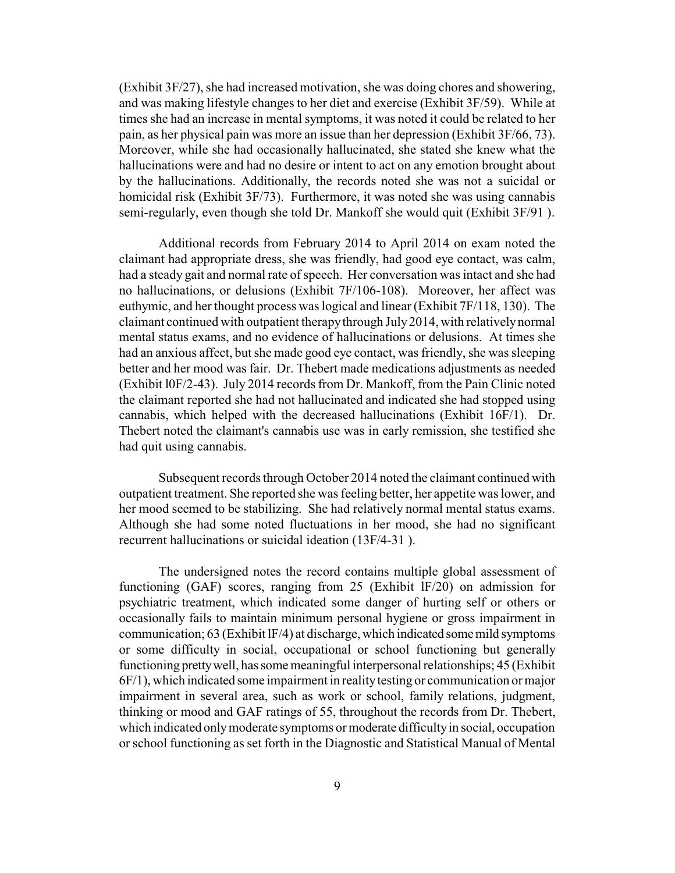(Exhibit 3F/27), she had increased motivation, she was doing chores and showering, and was making lifestyle changes to her diet and exercise (Exhibit 3F/59). While at times she had an increase in mental symptoms, it was noted it could be related to her pain, as her physical pain was more an issue than her depression (Exhibit 3F/66, 73). Moreover, while she had occasionally hallucinated, she stated she knew what the hallucinations were and had no desire or intent to act on any emotion brought about by the hallucinations. Additionally, the records noted she was not a suicidal or homicidal risk (Exhibit 3F/73). Furthermore, it was noted she was using cannabis semi-regularly, even though she told Dr. Mankoff she would quit (Exhibit 3F/91 ).

Additional records from February 2014 to April 2014 on exam noted the claimant had appropriate dress, she was friendly, had good eye contact, was calm, had a steady gait and normal rate of speech. Her conversation was intact and she had no hallucinations, or delusions (Exhibit 7F/106-108). Moreover, her affect was euthymic, and her thought process was logical and linear (Exhibit 7F/118, 130). The claimant continued with outpatient therapythrough July2014, with relativelynormal mental status exams, and no evidence of hallucinations or delusions. At times she had an anxious affect, but she made good eye contact, was friendly, she was sleeping better and her mood was fair. Dr. Thebert made medications adjustments as needed (Exhibit l0F/2-43). July 2014 records from Dr. Mankoff, from the Pain Clinic noted the claimant reported she had not hallucinated and indicated she had stopped using cannabis, which helped with the decreased hallucinations (Exhibit 16F/1). Dr. Thebert noted the claimant's cannabis use was in early remission, she testified she had quit using cannabis.

Subsequent records through October 2014 noted the claimant continued with outpatient treatment. She reported she was feeling better, her appetite was lower, and her mood seemed to be stabilizing. She had relatively normal mental status exams. Although she had some noted fluctuations in her mood, she had no significant recurrent hallucinations or suicidal ideation (13F/4-31 ).

The undersigned notes the record contains multiple global assessment of functioning (GAF) scores, ranging from 25 (Exhibit lF/20) on admission for psychiatric treatment, which indicated some danger of hurting self or others or occasionally fails to maintain minimum personal hygiene or gross impairment in communication;  $63$  (Exhibit IF/4) at discharge, which indicated some mild symptoms or some difficulty in social, occupational or school functioning but generally functioning prettywell, has some meaningful interpersonal relationships; 45 (Exhibit 6F/1), which indicated some impairment in realitytesting or communication or major impairment in several area, such as work or school, family relations, judgment, thinking or mood and GAF ratings of 55, throughout the records from Dr. Thebert, which indicated only moderate symptoms or moderate difficulty in social, occupation or school functioning as set forth in the Diagnostic and Statistical Manual of Mental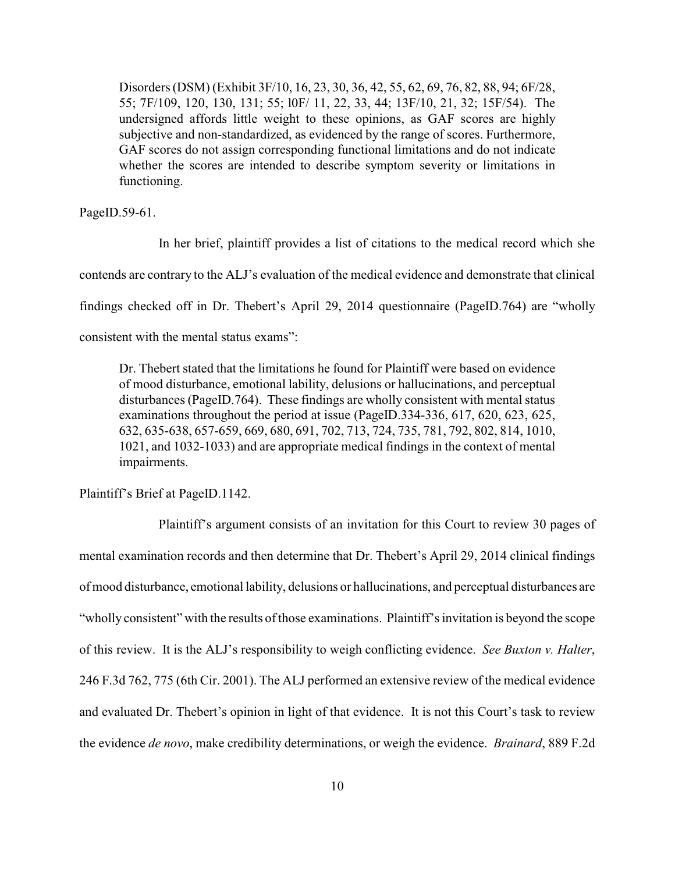Disorders (DSM) (Exhibit 3F/10, 16, 23, 30, 36, 42, 55, 62, 69, 76, 82, 88, 94; 6F/28, 55; 7F/109, 120, 130, 131; 55; l0F/ 11, 22, 33, 44; 13F/10, 21, 32; 15F/54). The undersigned affords little weight to these opinions, as GAF scores are highly subjective and non-standardized, as evidenced by the range of scores. Furthermore, GAF scores do not assign corresponding functional limitations and do not indicate whether the scores are intended to describe symptom severity or limitations in functioning.

PageID.59-61.

In her brief, plaintiff provides a list of citations to the medical record which she contends are contrary to the ALJ's evaluation of the medical evidence and demonstrate that clinical findings checked off in Dr. Thebert's April 29, 2014 questionnaire (PageID.764) are "wholly consistent with the mental status exams":

Dr. Thebert stated that the limitations he found for Plaintiff were based on evidence of mood disturbance, emotional lability, delusions or hallucinations, and perceptual disturbances (PageID.764). These findings are wholly consistent with mental status examinations throughout the period at issue (PageID.334-336, 617, 620, 623, 625, 632, 635-638, 657-659, 669, 680, 691, 702, 713, 724, 735, 781, 792, 802, 814, 1010, 1021, and 1032-1033) and are appropriate medical findings in the context of mental impairments.

Plaintiff's Brief at PageID.1142.

Plaintiff's argument consists of an invitation for this Court to review 30 pages of mental examination records and then determine that Dr. Thebert's April 29, 2014 clinical findings of mood disturbance, emotional lability, delusions or hallucinations, and perceptual disturbances are "wholly consistent" with the results of those examinations. Plaintiff's invitation is beyond the scope of this review. It is the ALJ's responsibility to weigh conflicting evidence. *See Buxton v. Halter*, 246 F.3d 762, 775 (6th Cir. 2001). The ALJ performed an extensive review of the medical evidence and evaluated Dr. Thebert's opinion in light of that evidence. It is not this Court's task to review the evidence *de novo*, make credibility determinations, or weigh the evidence. *Brainard*, 889 F.2d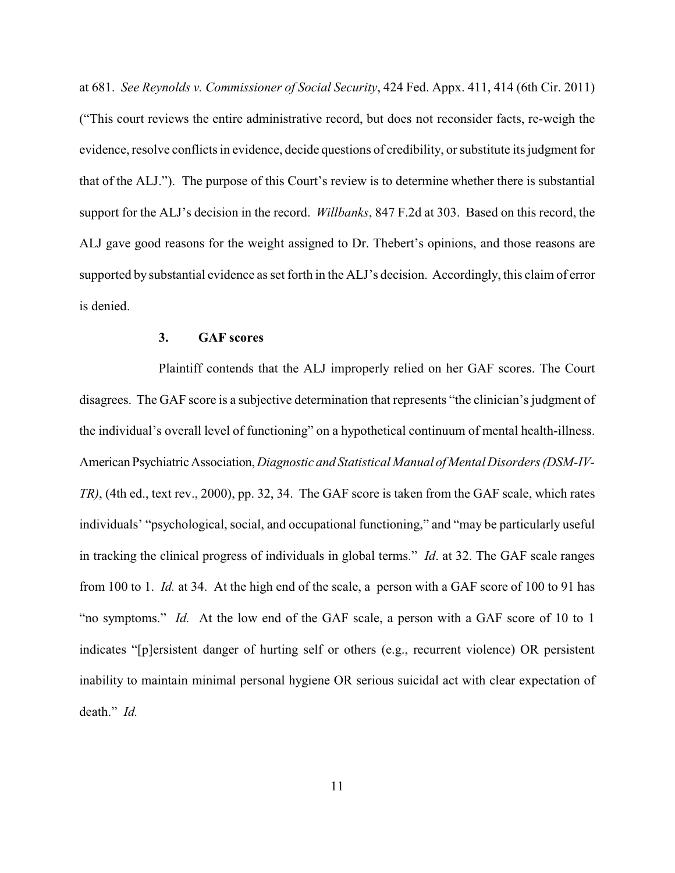at 681. *See Reynolds v. Commissioner of Social Security*, 424 Fed. Appx. 411, 414 (6th Cir. 2011) ("This court reviews the entire administrative record, but does not reconsider facts, re-weigh the evidence, resolve conflicts in evidence, decide questions of credibility, or substitute its judgment for that of the ALJ."). The purpose of this Court's review is to determine whether there is substantial support for the ALJ's decision in the record. *Willbanks*, 847 F.2d at 303. Based on this record, the ALJ gave good reasons for the weight assigned to Dr. Thebert's opinions, and those reasons are supported by substantial evidence as set forth in the ALJ's decision. Accordingly, this claim of error is denied.

### **3. GAF scores**

Plaintiff contends that the ALJ improperly relied on her GAF scores. The Court disagrees. The GAF score is a subjective determination that represents "the clinician's judgment of the individual's overall level of functioning" on a hypothetical continuum of mental health-illness. American PsychiatricAssociation,*Diagnostic and Statistical Manual of Mental Disorders (DSM-IV-TR)*, (4th ed., text rev., 2000), pp. 32, 34. The GAF score is taken from the GAF scale, which rates individuals' "psychological, social, and occupational functioning," and "may be particularly useful in tracking the clinical progress of individuals in global terms." *Id*. at 32. The GAF scale ranges from 100 to 1. *Id.* at 34. At the high end of the scale, a person with a GAF score of 100 to 91 has "no symptoms." *Id.* At the low end of the GAF scale, a person with a GAF score of 10 to 1 indicates "[p]ersistent danger of hurting self or others (e.g., recurrent violence) OR persistent inability to maintain minimal personal hygiene OR serious suicidal act with clear expectation of death." *Id.*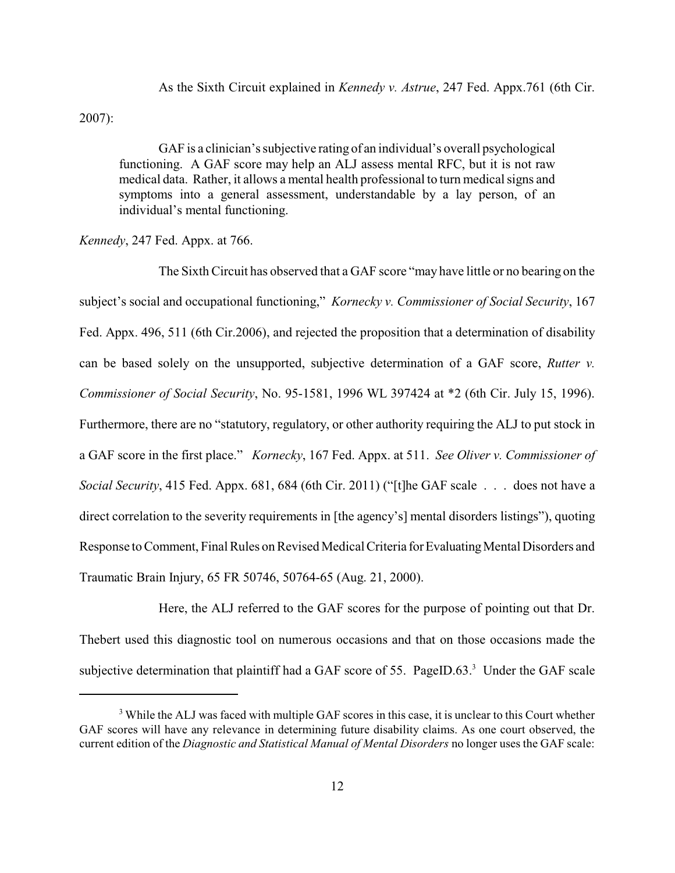As the Sixth Circuit explained in *Kennedy v. Astrue*, 247 Fed. Appx.761 (6th Cir.

2007):

GAF is a clinician's subjective rating of an individual's overall psychological functioning. A GAF score may help an ALJ assess mental RFC, but it is not raw medical data. Rather, it allows a mental health professional to turn medical signs and symptoms into a general assessment, understandable by a lay person, of an individual's mental functioning.

*Kennedy*, 247 Fed. Appx. at 766.

The Sixth Circuit has observed that a GAF score "may have little or no bearing on the subject's social and occupational functioning," *Kornecky v. Commissioner of Social Security*, 167 Fed. Appx. 496, 511 (6th Cir.2006), and rejected the proposition that a determination of disability can be based solely on the unsupported, subjective determination of a GAF score, *Rutter v. Commissioner of Social Security*, No. 95-1581, 1996 WL 397424 at \*2 (6th Cir. July 15, 1996). Furthermore, there are no "statutory, regulatory, or other authority requiring the ALJ to put stock in a GAF score in the first place." *Kornecky*, 167 Fed. Appx. at 511. *See Oliver v. Commissioner of Social Security*, 415 Fed. Appx. 681, 684 (6th Cir. 2011) ("[t]he GAF scale . . . does not have a direct correlation to the severity requirements in [the agency's] mental disorders listings"), quoting Response to Comment, Final Rules on Revised Medical Criteria for Evaluating Mental Disorders and Traumatic Brain Injury, 65 FR 50746, 50764-65 (Aug. 21, 2000).

Here, the ALJ referred to the GAF scores for the purpose of pointing out that Dr. Thebert used this diagnostic tool on numerous occasions and that on those occasions made the subjective determination that plaintiff had a GAF score of 55. PageID.63. $<sup>3</sup>$  Under the GAF scale</sup>

<sup>&</sup>lt;sup>3</sup> While the ALJ was faced with multiple GAF scores in this case, it is unclear to this Court whether GAF scores will have any relevance in determining future disability claims. As one court observed, the current edition of the *Diagnostic and Statistical Manual of Mental Disorders* no longer uses the GAF scale: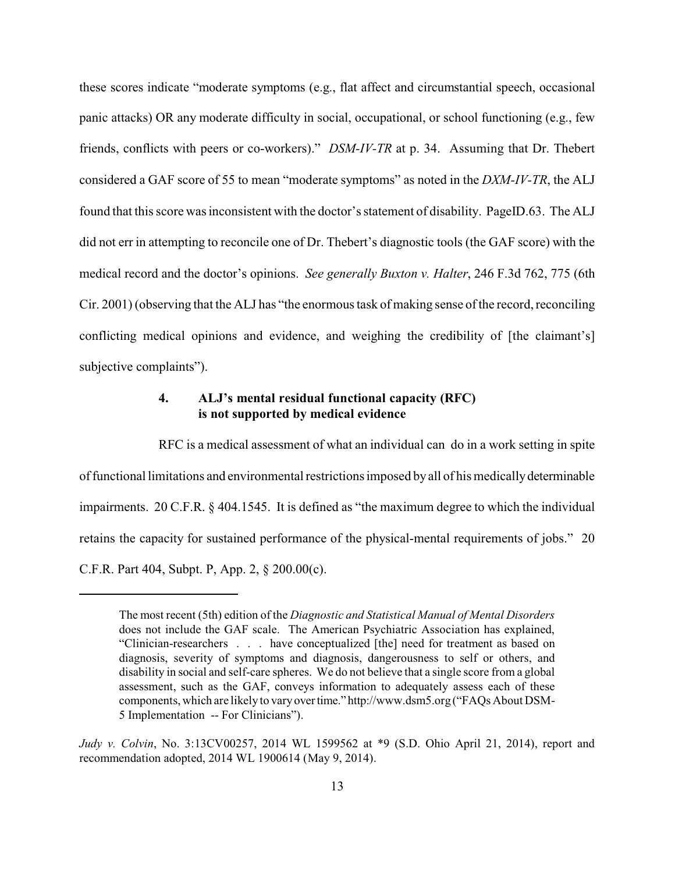these scores indicate "moderate symptoms (e.g., flat affect and circumstantial speech, occasional panic attacks) OR any moderate difficulty in social, occupational, or school functioning (e.g., few friends, conflicts with peers or co-workers)." *DSM-IV-TR* at p. 34. Assuming that Dr. Thebert considered a GAF score of 55 to mean "moderate symptoms" as noted in the *DXM-IV-TR*, the ALJ found that this score was inconsistent with the doctor's statement of disability. PageID.63. The ALJ did not err in attempting to reconcile one of Dr. Thebert's diagnostic tools (the GAF score) with the medical record and the doctor's opinions. *See generally Buxton v. Halter*, 246 F.3d 762, 775 (6th Cir. 2001) (observing that the ALJ has "the enormous task of making sense of the record, reconciling conflicting medical opinions and evidence, and weighing the credibility of [the claimant's] subjective complaints").

# **4. ALJ's mental residual functional capacity (RFC) is not supported by medical evidence**

RFC is a medical assessment of what an individual can do in a work setting in spite of functional limitations and environmental restrictions imposed byall of his medicallydeterminable impairments. 20 C.F.R. § 404.1545. It is defined as "the maximum degree to which the individual retains the capacity for sustained performance of the physical-mental requirements of jobs." 20 C.F.R. Part 404, Subpt. P, App. 2, § 200.00(c).

The most recent (5th) edition of the *Diagnostic and Statistical Manual of Mental Disorders* does not include the GAF scale. The American Psychiatric Association has explained, "Clinician-researchers . . . have conceptualized [the] need for treatment as based on diagnosis, severity of symptoms and diagnosis, dangerousness to self or others, and disability in social and self-care spheres. We do not believe that a single score from a global assessment, such as the GAF, conveys information to adequately assess each of these components, which are likely to vary overtime." http://www.dsm5.org ("FAQs About DSM-5 Implementation -- For Clinicians").

*Judy v. Colvin*, No. 3:13CV00257, 2014 WL 1599562 at \*9 (S.D. Ohio April 21, 2014), report and recommendation adopted, 2014 WL 1900614 (May 9, 2014).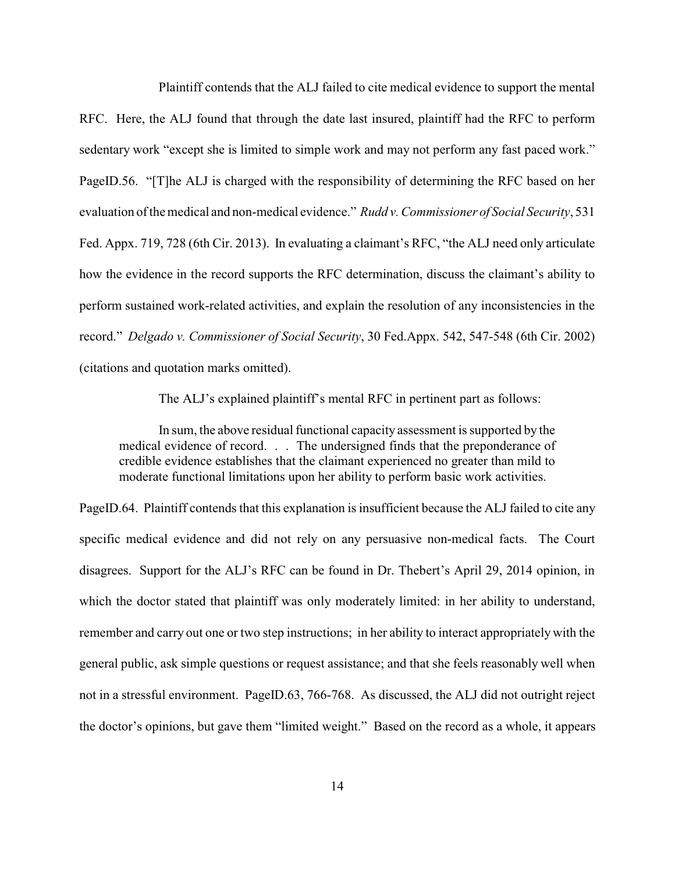Plaintiff contends that the ALJ failed to cite medical evidence to support the mental RFC. Here, the ALJ found that through the date last insured, plaintiff had the RFC to perform sedentary work "except she is limited to simple work and may not perform any fast paced work." PageID.56. "[T]he ALJ is charged with the responsibility of determining the RFC based on her evaluation of the medical and non-medical evidence." *Rudd v. Commissioner of Social Security*, 531 Fed. Appx. 719, 728 (6th Cir. 2013). In evaluating a claimant's RFC, "the ALJ need only articulate how the evidence in the record supports the RFC determination, discuss the claimant's ability to perform sustained work-related activities, and explain the resolution of any inconsistencies in the record." *Delgado v. Commissioner of Social Security*, 30 Fed.Appx. 542, 547-548 (6th Cir. 2002) (citations and quotation marks omitted).

The ALJ's explained plaintiff's mental RFC in pertinent part as follows:

In sum, the above residual functional capacity assessment is supported by the medical evidence of record. . . The undersigned finds that the preponderance of credible evidence establishes that the claimant experienced no greater than mild to moderate functional limitations upon her ability to perform basic work activities.

PageID.64. Plaintiff contends that this explanation is insufficient because the ALJ failed to cite any specific medical evidence and did not rely on any persuasive non-medical facts. The Court disagrees. Support for the ALJ's RFC can be found in Dr. Thebert's April 29, 2014 opinion, in which the doctor stated that plaintiff was only moderately limited: in her ability to understand, remember and carry out one or two step instructions; in her ability to interact appropriately with the general public, ask simple questions or request assistance; and that she feels reasonably well when not in a stressful environment. PageID.63, 766-768. As discussed, the ALJ did not outright reject the doctor's opinions, but gave them "limited weight." Based on the record as a whole, it appears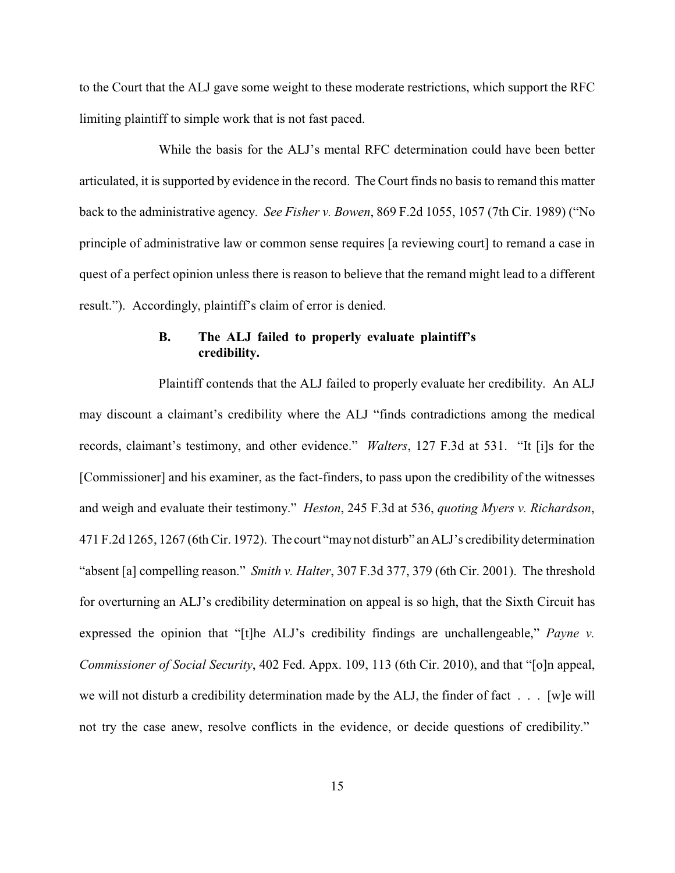to the Court that the ALJ gave some weight to these moderate restrictions, which support the RFC limiting plaintiff to simple work that is not fast paced.

While the basis for the ALJ's mental RFC determination could have been better articulated, it is supported by evidence in the record. The Court finds no basis to remand this matter back to the administrative agency. *See Fisher v. Bowen*, 869 F.2d 1055, 1057 (7th Cir. 1989) ("No principle of administrative law or common sense requires [a reviewing court] to remand a case in quest of a perfect opinion unless there is reason to believe that the remand might lead to a different result."). Accordingly, plaintiff's claim of error is denied.

# **B. The ALJ failed to properly evaluate plaintiff's credibility.**

Plaintiff contends that the ALJ failed to properly evaluate her credibility. An ALJ may discount a claimant's credibility where the ALJ "finds contradictions among the medical records, claimant's testimony, and other evidence." *Walters*, 127 F.3d at 531. "It [i]s for the [Commissioner] and his examiner, as the fact-finders, to pass upon the credibility of the witnesses and weigh and evaluate their testimony." *Heston*, 245 F.3d at 536, *quoting Myers v. Richardson*, 471 F.2d 1265, 1267 (6th Cir. 1972). The court "maynot disturb" an ALJ's credibilitydetermination "absent [a] compelling reason." *Smith v. Halter*, 307 F.3d 377, 379 (6th Cir. 2001). The threshold for overturning an ALJ's credibility determination on appeal is so high, that the Sixth Circuit has expressed the opinion that "[t]he ALJ's credibility findings are unchallengeable," *Payne v. Commissioner of Social Security*, 402 Fed. Appx. 109, 113 (6th Cir. 2010), and that "[o]n appeal, we will not disturb a credibility determination made by the ALJ, the finder of fact  $\dots$ . [w]e will not try the case anew, resolve conflicts in the evidence, or decide questions of credibility."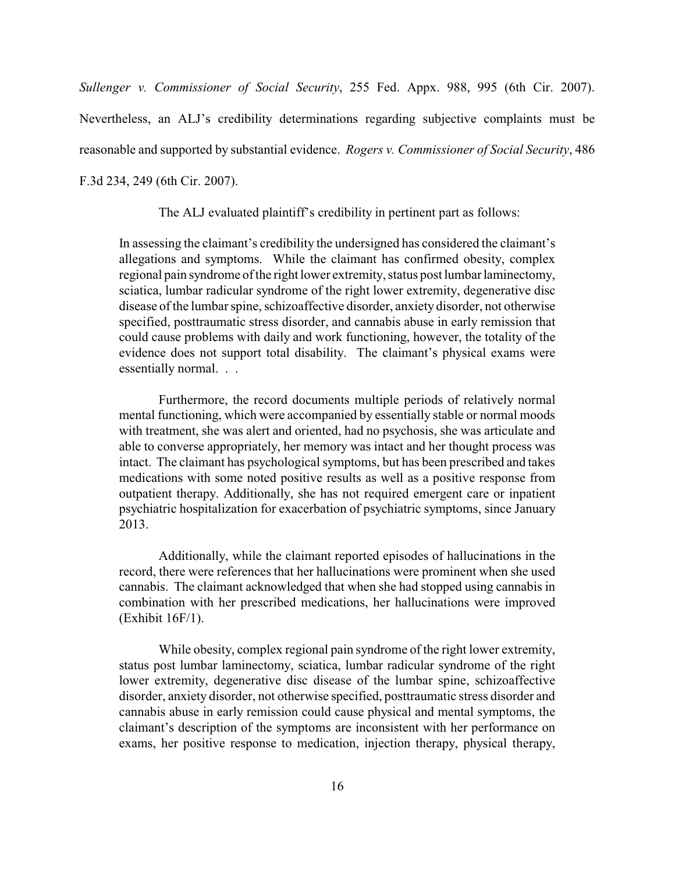*Sullenger v. Commissioner of Social Security*, 255 Fed. Appx. 988, 995 (6th Cir. 2007). Nevertheless, an ALJ's credibility determinations regarding subjective complaints must be reasonable and supported by substantial evidence. *Rogers v. Commissioner of Social Security*, 486 F.3d 234, 249 (6th Cir. 2007).

The ALJ evaluated plaintiff's credibility in pertinent part as follows:

In assessing the claimant's credibility the undersigned has considered the claimant's allegations and symptoms. While the claimant has confirmed obesity, complex regional pain syndrome of the right lower extremity, status post lumbar laminectomy, sciatica, lumbar radicular syndrome of the right lower extremity, degenerative disc disease of the lumbar spine, schizoaffective disorder, anxiety disorder, not otherwise specified, posttraumatic stress disorder, and cannabis abuse in early remission that could cause problems with daily and work functioning, however, the totality of the evidence does not support total disability. The claimant's physical exams were essentially normal. . .

Furthermore, the record documents multiple periods of relatively normal mental functioning, which were accompanied by essentially stable or normal moods with treatment, she was alert and oriented, had no psychosis, she was articulate and able to converse appropriately, her memory was intact and her thought process was intact. The claimant has psychological symptoms, but has been prescribed and takes medications with some noted positive results as well as a positive response from outpatient therapy. Additionally, she has not required emergent care or inpatient psychiatric hospitalization for exacerbation of psychiatric symptoms, since January 2013.

Additionally, while the claimant reported episodes of hallucinations in the record, there were references that her hallucinations were prominent when she used cannabis. The claimant acknowledged that when she had stopped using cannabis in combination with her prescribed medications, her hallucinations were improved (Exhibit 16F/1).

While obesity, complex regional pain syndrome of the right lower extremity, status post lumbar laminectomy, sciatica, lumbar radicular syndrome of the right lower extremity, degenerative disc disease of the lumbar spine, schizoaffective disorder, anxiety disorder, not otherwise specified, posttraumatic stress disorder and cannabis abuse in early remission could cause physical and mental symptoms, the claimant's description of the symptoms are inconsistent with her performance on exams, her positive response to medication, injection therapy, physical therapy,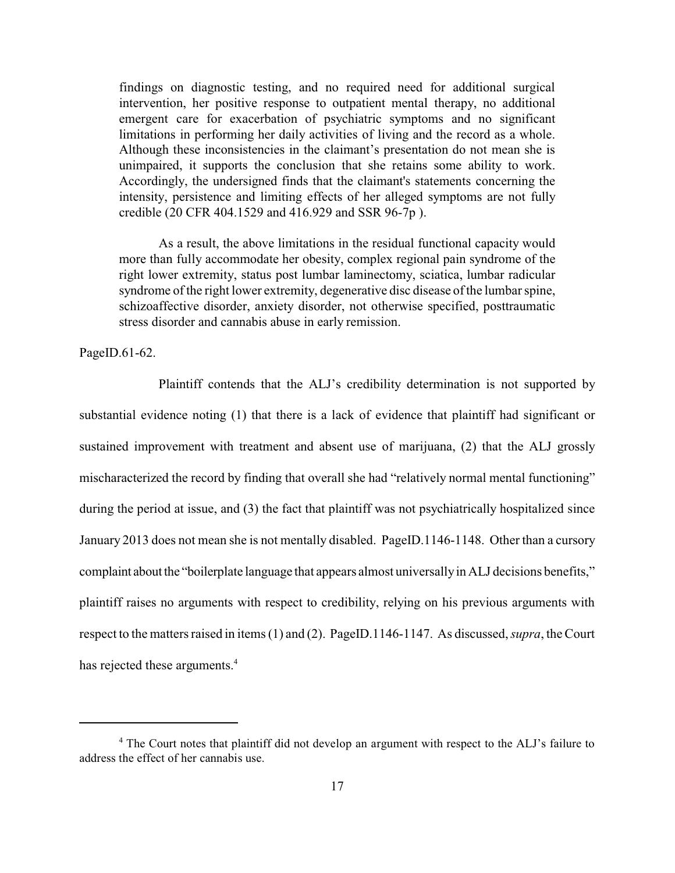findings on diagnostic testing, and no required need for additional surgical intervention, her positive response to outpatient mental therapy, no additional emergent care for exacerbation of psychiatric symptoms and no significant limitations in performing her daily activities of living and the record as a whole. Although these inconsistencies in the claimant's presentation do not mean she is unimpaired, it supports the conclusion that she retains some ability to work. Accordingly, the undersigned finds that the claimant's statements concerning the intensity, persistence and limiting effects of her alleged symptoms are not fully credible (20 CFR 404.1529 and 416.929 and SSR 96-7p ).

As a result, the above limitations in the residual functional capacity would more than fully accommodate her obesity, complex regional pain syndrome of the right lower extremity, status post lumbar laminectomy, sciatica, lumbar radicular syndrome of the right lower extremity, degenerative disc disease of the lumbar spine, schizoaffective disorder, anxiety disorder, not otherwise specified, posttraumatic stress disorder and cannabis abuse in early remission.

PageID.61-62.

Plaintiff contends that the ALJ's credibility determination is not supported by substantial evidence noting (1) that there is a lack of evidence that plaintiff had significant or sustained improvement with treatment and absent use of marijuana, (2) that the ALJ grossly mischaracterized the record by finding that overall she had "relatively normal mental functioning" during the period at issue, and (3) the fact that plaintiff was not psychiatrically hospitalized since January 2013 does not mean she is not mentally disabled. PageID.1146-1148. Other than a cursory complaint about the "boilerplate language that appears almost universallyin ALJ decisions benefits," plaintiff raises no arguments with respect to credibility, relying on his previous arguments with respect to the matters raised in items (1) and (2). PageID.1146-1147. As discussed, *supra*, the Court has rejected these arguments.<sup>4</sup>

<sup>&</sup>lt;sup>4</sup> The Court notes that plaintiff did not develop an argument with respect to the ALJ's failure to address the effect of her cannabis use.